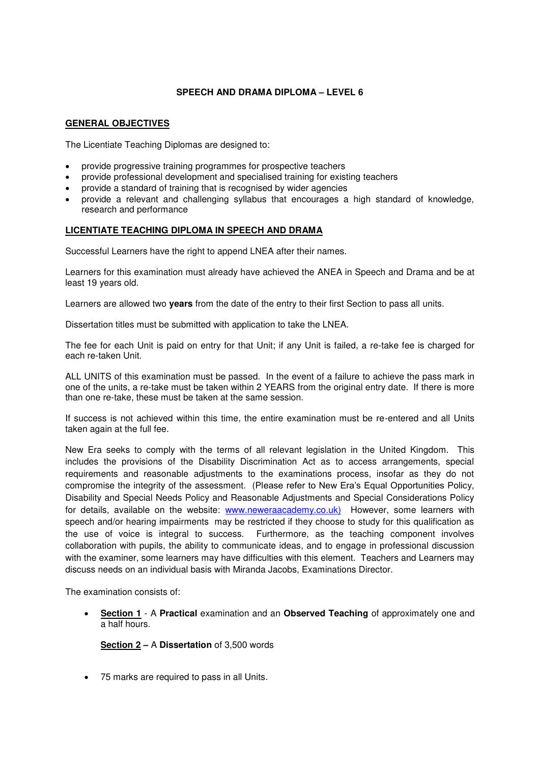### **SPEECH AND DRAMA DIPLOMA – LEVEL 6**

#### **GENERAL OBJECTIVES**

The Licentiate Teaching Diplomas are designed to:

- provide progressive training programmes for prospective teachers
- provide professional development and specialised training for existing teachers
- provide a standard of training that is recognised by wider agencies
- provide a relevant and challenging syllabus that encourages a high standard of knowledge, research and performance

### **LICENTIATE TEACHING DIPLOMA IN SPEECH AND DRAMA**

Successful Learners have the right to append LNEA after their names.

Learners for this examination must already have achieved the ANEA in Speech and Drama and be at least 19 years old.

Learners are allowed two **years** from the date of the entry to their first Section to pass all units.

Dissertation titles must be submitted with application to take the LNEA.

The fee for each Unit is paid on entry for that Unit; if any Unit is failed, a re-take fee is charged for each re-taken Unit.

ALL UNITS of this examination must be passed. In the event of a failure to achieve the pass mark in one of the units, a re-take must be taken within 2 YEARS from the original entry date. If there is more than one re-take, these must be taken at the same session.

If success is not achieved within this time, the entire examination must be re-entered and all Units taken again at the full fee.

New Era seeks to comply with the terms of all relevant legislation in the United Kingdom. This includes the provisions of the Disability Discrimination Act as to access arrangements, special requirements and reasonable adjustments to the examinations process, insofar as they do not compromise the integrity of the assessment. (Please refer to New Era's Equal Opportunities Policy, Disability and Special Needs Policy and Reasonable Adjustments and Special Considerations Policy for details, available on the website: [www.neweraacademy.co.uk\)](http://www.neweraacademy.co.uk)/) However, some learners with speech and/or hearing impairments may be restricted if they choose to study for this qualification as the use of voice is integral to success. Furthermore, as the teaching component involves collaboration with pupils, the ability to communicate ideas, and to engage in professional discussion with the examiner, some learners may have difficulties with this element. Teachers and Learners may discuss needs on an individual basis with Miranda Jacobs, Examinations Director.

The examination consists of:

• **Section 1** - A **Practical** examination and an **Observed Teaching** of approximately one and a half hours.

**Section 2 –** A **Dissertation** of 3,500 words

• 75 marks are required to pass in all Units.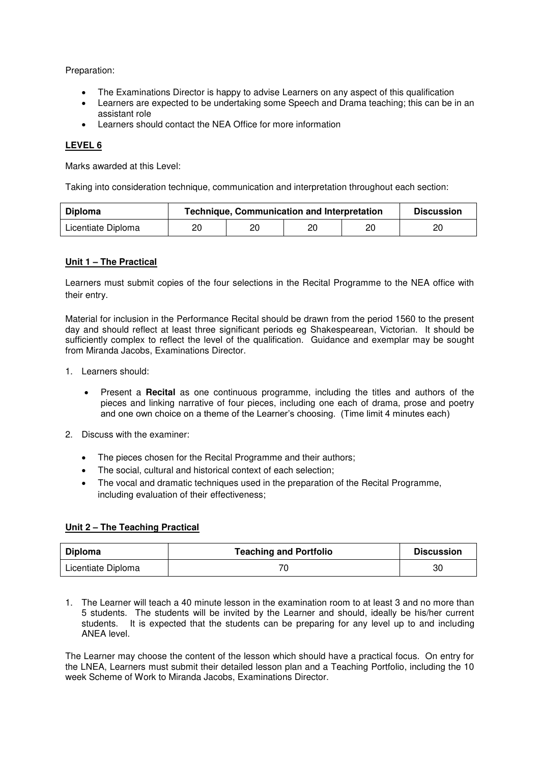Preparation:

- The Examinations Director is happy to advise Learners on any aspect of this qualification
- Learners are expected to be undertaking some Speech and Drama teaching; this can be in an assistant role
- Learners should contact the NEA Office for more information

# **LEVEL 6**

Marks awarded at this Level:

Taking into consideration technique, communication and interpretation throughout each section:

| <b>Diploma</b>     | <b>Technique, Communication and Interpretation</b> | <b>Discussion</b> |    |    |    |
|--------------------|----------------------------------------------------|-------------------|----|----|----|
| Licentiate Diploma | 20                                                 | 20                | 20 | 20 | 20 |

### **Unit 1 – The Practical**

Learners must submit copies of the four selections in the Recital Programme to the NEA office with their entry.

Material for inclusion in the Performance Recital should be drawn from the period 1560 to the present day and should reflect at least three significant periods eg Shakespearean, Victorian. It should be sufficiently complex to reflect the level of the qualification. Guidance and exemplar may be sought from Miranda Jacobs, Examinations Director.

- 1. Learners should:
	- Present a **Recital** as one continuous programme, including the titles and authors of the pieces and linking narrative of four pieces, including one each of drama, prose and poetry and one own choice on a theme of the Learner's choosing. (Time limit 4 minutes each)
- 2. Discuss with the examiner:
	- The pieces chosen for the Recital Programme and their authors;
	- The social, cultural and historical context of each selection;
	- The vocal and dramatic techniques used in the preparation of the Recital Programme, including evaluation of their effectiveness;

### **Unit 2 – The Teaching Practical**

| Diploma            | <b>Teaching and Portfolio</b> | <b>Discussion</b> |
|--------------------|-------------------------------|-------------------|
| Licentiate Diploma |                               | 30                |

1. The Learner will teach a 40 minute lesson in the examination room to at least 3 and no more than 5 students. The students will be invited by the Learner and should, ideally be his/her current students. It is expected that the students can be preparing for any level up to and including ANEA level.

The Learner may choose the content of the lesson which should have a practical focus. On entry for the LNEA, Learners must submit their detailed lesson plan and a Teaching Portfolio, including the 10 week Scheme of Work to Miranda Jacobs, Examinations Director.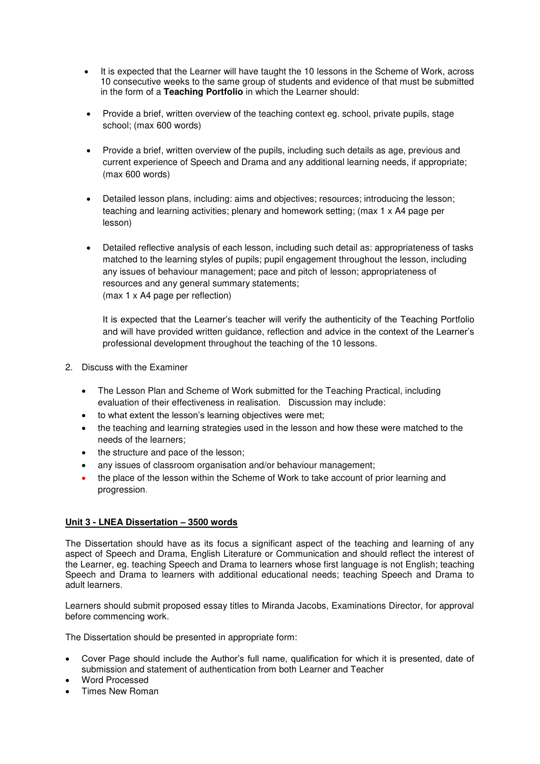- It is expected that the Learner will have taught the 10 lessons in the Scheme of Work, across 10 consecutive weeks to the same group of students and evidence of that must be submitted in the form of a **Teaching Portfolio** in which the Learner should:
- Provide a brief, written overview of the teaching context eg. school, private pupils, stage school; (max 600 words)
- Provide a brief, written overview of the pupils, including such details as age, previous and current experience of Speech and Drama and any additional learning needs, if appropriate; (max 600 words)
- Detailed lesson plans, including: aims and objectives; resources; introducing the lesson; teaching and learning activities; plenary and homework setting; (max 1 x A4 page per lesson)
- Detailed reflective analysis of each lesson, including such detail as: appropriateness of tasks matched to the learning styles of pupils; pupil engagement throughout the lesson, including any issues of behaviour management; pace and pitch of lesson; appropriateness of resources and any general summary statements; (max 1 x A4 page per reflection)

It is expected that the Learner's teacher will verify the authenticity of the Teaching Portfolio and will have provided written guidance, reflection and advice in the context of the Learner's professional development throughout the teaching of the 10 lessons.

- 2. Discuss with the Examiner
	- The Lesson Plan and Scheme of Work submitted for the Teaching Practical, including evaluation of their effectiveness in realisation. Discussion may include:
	- to what extent the lesson's learning objectives were met;
	- the teaching and learning strategies used in the lesson and how these were matched to the needs of the learners;
	- the structure and pace of the lesson;
	- any issues of classroom organisation and/or behaviour management;
	- the place of the lesson within the Scheme of Work to take account of prior learning and progression.

## **Unit 3 - LNEA Dissertation – 3500 words**

The Dissertation should have as its focus a significant aspect of the teaching and learning of any aspect of Speech and Drama, English Literature or Communication and should reflect the interest of the Learner, eg. teaching Speech and Drama to learners whose first language is not English; teaching Speech and Drama to learners with additional educational needs; teaching Speech and Drama to adult learners.

Learners should submit proposed essay titles to Miranda Jacobs, Examinations Director, for approval before commencing work.

The Dissertation should be presented in appropriate form:

- Cover Page should include the Author's full name, qualification for which it is presented, date of submission and statement of authentication from both Learner and Teacher
- Word Processed
- Times New Roman